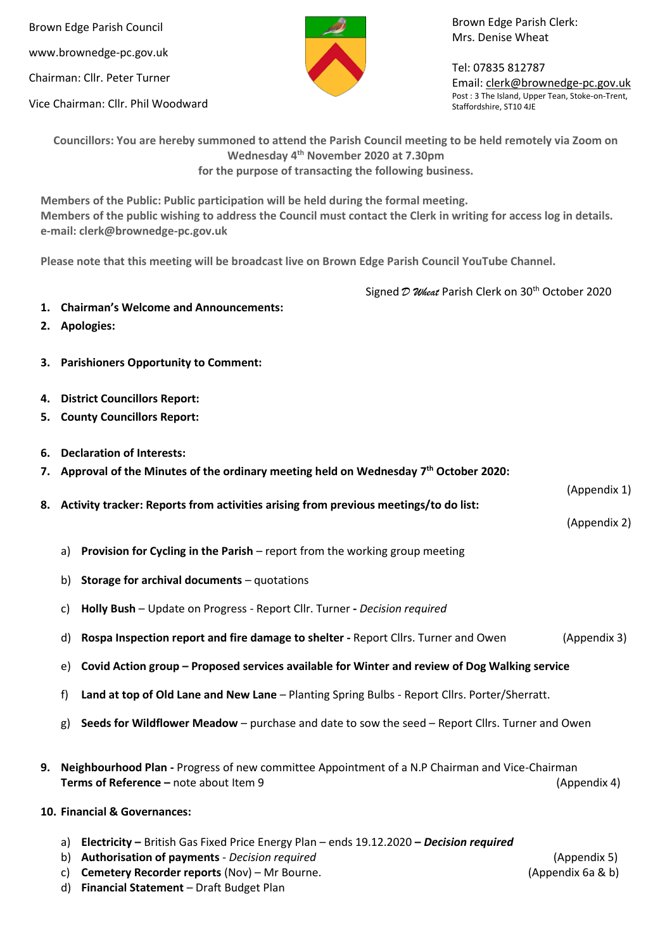Brown Edge Parish Council www.brownedge-pc.gov.uk Chairman: Cllr. Peter Turner

Vice Chairman: Cllr. Phil Woodward

Brown Edge Parish Clerk: Mrs. Denise Wheat

Tel: 07835 812787 Email[: clerk@brownedge-pc.gov.uk](mailto:clerk@brownedge-pc.gov.uk) Post : 3 The Island, Upper Tean, Stoke-on-Trent, Staffordshire, ST10 4JE

**Councillors: You are hereby summoned to attend the Parish Council meeting to be held remotely via Zoom on Wednesday 4 th November 2020 at 7.30pm for the purpose of transacting the following business.**

**Members of the Public: Public participation will be held during the formal meeting. Members of the public wishing to address the Council must contact the Clerk in writing for access log in details. e-mail: clerk@brownedge-pc.gov.uk** 

**Please note that this meeting will be broadcast live on Brown Edge Parish Council YouTube Channel.**

Signed *D Wheat* Parish Clerk on 30<sup>th</sup> October 2020

- **1. Chairman's Welcome and Announcements:**
- **2. Apologies:**
- **3. Parishioners Opportunity to Comment:**
- **4. District Councillors Report:**
- **5. County Councillors Report:**
- **6. Declaration of Interests:**
- **7. Approval of the Minutes of the ordinary meeting held on Wednesday 7 th October 2020:**
- **8. Activity tracker: Reports from activities arising from previous meetings/to do list:**
- 

- a) **Provision for Cycling in the Parish** report from the working group meeting
- b) **Storage for archival documents** quotations
- c) **Holly Bush** Update on Progress Report Cllr. Turner **-** *Decision required*
- d) **Rospa Inspection report and fire damage to shelter -** Report Cllrs. Turner and Owen (Appendix 3)
- e) **Covid Action group – Proposed services available for Winter and review of Dog Walking service**
- f) **Land at top of Old Lane and New Lane** Planting Spring Bulbs Report Cllrs. Porter/Sherratt.
- g) **Seeds for Wildflower Meadow** purchase and date to sow the seed Report Cllrs. Turner and Owen
- **9. Neighbourhood Plan -** Progress of new committee Appointment of a N.P Chairman and Vice-Chairman **Terms of Reference –** note about Item 9 (Appendix 4)
- **10. Financial & Governances:** 
	- a) **Electricity –** British Gas Fixed Price Energy Plan ends 19.12.2020 **–** *Decision required*
	- b) **Authorisation of payments** *Decision required* (Appendix 5)
	- c) **Cemetery Recorder reports** (Nov) Mr Bourne. (Appendix 6a & b)

d) **Financial Statement** – Draft Budget Plan

(Appendix 1)

(Appendix 2)